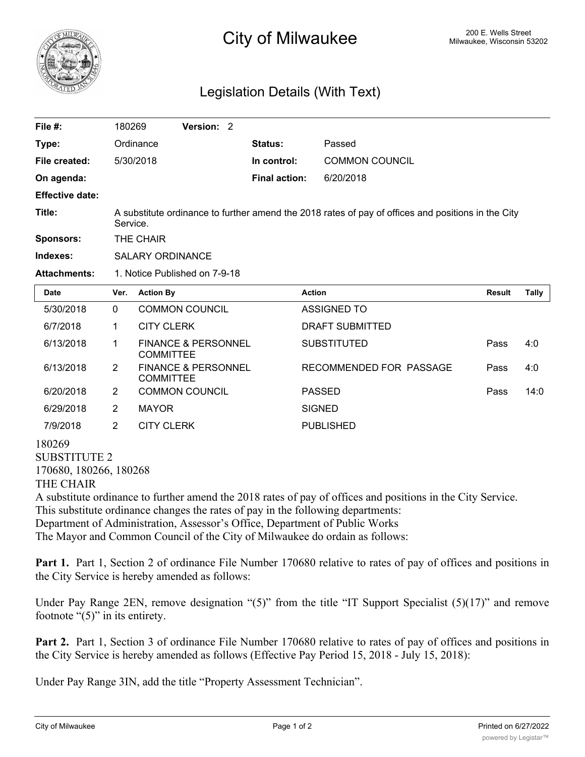

## 200 E. Wells Street 200 E. Wells Street 200 E. Wells Street

## Legislation Details (With Text)

| File $#$ :             | 180269                                                                                                         |                   | Version: 2                     |  |                      |                         |               |       |
|------------------------|----------------------------------------------------------------------------------------------------------------|-------------------|--------------------------------|--|----------------------|-------------------------|---------------|-------|
| Type:                  |                                                                                                                | Ordinance         |                                |  | <b>Status:</b>       | Passed                  |               |       |
| File created:          |                                                                                                                | 5/30/2018         |                                |  | In control:          | <b>COMMON COUNCIL</b>   |               |       |
| On agenda:             |                                                                                                                |                   |                                |  | <b>Final action:</b> | 6/20/2018               |               |       |
| <b>Effective date:</b> |                                                                                                                |                   |                                |  |                      |                         |               |       |
| Title:                 | A substitute ordinance to further amend the 2018 rates of pay of offices and positions in the City<br>Service. |                   |                                |  |                      |                         |               |       |
| Sponsors:              | THE CHAIR                                                                                                      |                   |                                |  |                      |                         |               |       |
| Indexes:               | <b>SALARY ORDINANCE</b>                                                                                        |                   |                                |  |                      |                         |               |       |
| <b>Attachments:</b>    | 1. Notice Published on 7-9-18                                                                                  |                   |                                |  |                      |                         |               |       |
| <b>Date</b>            | Ver.                                                                                                           | <b>Action By</b>  |                                |  |                      | <b>Action</b>           | <b>Result</b> | Tally |
| 5/30/2018              | $\Omega$                                                                                                       |                   | <b>COMMON COUNCIL</b>          |  |                      | <b>ASSIGNED TO</b>      |               |       |
| 6/7/2018               | 1                                                                                                              | <b>CITY CLERK</b> |                                |  |                      | <b>DRAFT SUBMITTED</b>  |               |       |
| 6/13/2018              | 1                                                                                                              | <b>COMMITTEE</b>  | <b>FINANCE &amp; PERSONNEL</b> |  |                      | <b>SUBSTITUTED</b>      | Pass          | 4:0   |
| 6/13/2018              | $\overline{2}$                                                                                                 | <b>COMMITTEE</b>  | <b>FINANCE &amp; PERSONNEL</b> |  |                      | RECOMMENDED FOR PASSAGE | Pass          | 4:0   |
| 6/20/2018              | 2                                                                                                              |                   | <b>COMMON COUNCIL</b>          |  |                      | <b>PASSED</b>           | Pass          | 14:0  |
| 6/29/2018              | 2                                                                                                              | <b>MAYOR</b>      |                                |  |                      | <b>SIGNED</b>           |               |       |
| 7/9/2018               | 2                                                                                                              | <b>CITY CLERK</b> |                                |  |                      | <b>PUBLISHED</b>        |               |       |
| 180269                 |                                                                                                                |                   |                                |  |                      |                         |               |       |

SUBSTITUTE 2 170680, 180266, 180268 THE CHAIR

A substitute ordinance to further amend the 2018 rates of pay of offices and positions in the City Service. This substitute ordinance changes the rates of pay in the following departments: Department of Administration, Assessor's Office, Department of Public Works The Mayor and Common Council of the City of Milwaukee do ordain as follows:

**Part 1.** Part 1, Section 2 of ordinance File Number 170680 relative to rates of pay of offices and positions in the City Service is hereby amended as follows:

Under Pay Range 2EN, remove designation "(5)" from the title "IT Support Specialist (5)(17)" and remove footnote " $(5)$ " in its entirety.

**Part 2.** Part 1, Section 3 of ordinance File Number 170680 relative to rates of pay of offices and positions in the City Service is hereby amended as follows (Effective Pay Period 15, 2018 - July 15, 2018):

Under Pay Range 3IN, add the title "Property Assessment Technician".